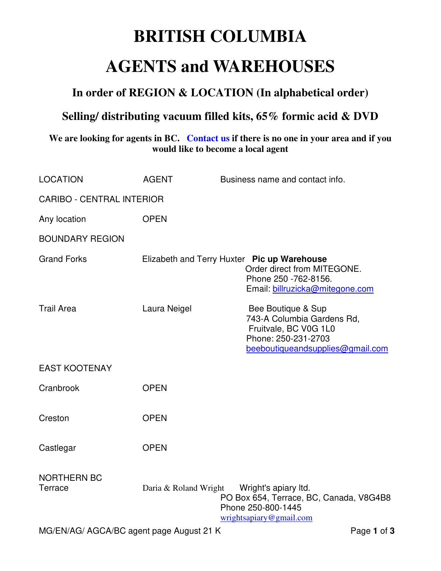## **BRITISH COLUMBIA AGENTS and WAREHOUSES**

## **In order of REGION & LOCATION (In alphabetical order)**

## **Selling/ distributing vacuum filled kits, 65% formic acid & DVD**

## **We are looking for agents in BC. Contact us if there is no one in your area and if you would like to become a local agent**

| <b>LOCATION</b>                          | <b>AGENT</b> | Business name and contact info.                                                                                                        |  |
|------------------------------------------|--------------|----------------------------------------------------------------------------------------------------------------------------------------|--|
| <b>CARIBO - CENTRAL INTERIOR</b>         |              |                                                                                                                                        |  |
| Any location                             | <b>OPEN</b>  |                                                                                                                                        |  |
| <b>BOUNDARY REGION</b>                   |              |                                                                                                                                        |  |
| <b>Grand Forks</b>                       |              | Elizabeth and Terry Huxter Pic up Warehouse<br>Order direct from MITEGONE.<br>Phone 250 - 762-8156.<br>Email: billruzicka@mitegone.com |  |
| <b>Trail Area</b>                        | Laura Neigel | Bee Boutique & Sup<br>743-A Columbia Gardens Rd,<br>Fruitvale, BC V0G 1L0<br>Phone: 250-231-2703<br>beeboutiqueandsupplies@gmail.com   |  |
| <b>EAST KOOTENAY</b>                     |              |                                                                                                                                        |  |
| Cranbrook                                | <b>OPEN</b>  |                                                                                                                                        |  |
| Creston                                  | <b>OPEN</b>  |                                                                                                                                        |  |
| Castlegar                                | <b>OPEN</b>  |                                                                                                                                        |  |
| <b>NORTHERN BC</b><br>Terrace            |              | PO Box 654, Terrace, BC, Canada, V8G4B8<br>Phone 250-800-1445<br>wrightsapiary@gmail.com                                               |  |
| MG/EN/AG/ AGCA/BC agent page August 21 K |              |                                                                                                                                        |  |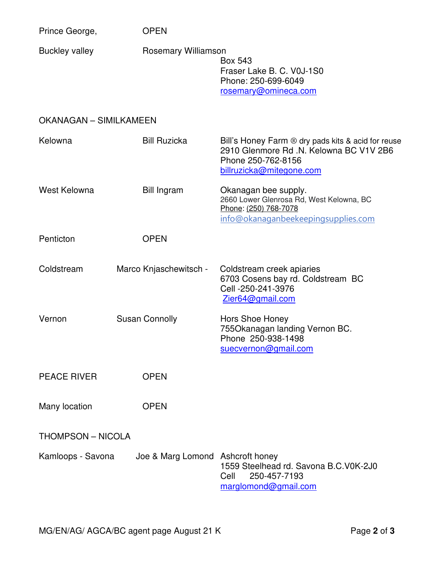| Prince George,           | <b>OPEN</b>                      |                                                                                                                                                 |  |  |
|--------------------------|----------------------------------|-------------------------------------------------------------------------------------------------------------------------------------------------|--|--|
| <b>Buckley valley</b>    | Rosemary Williamson              | Box 543<br>Fraser Lake B. C. V0J-1S0<br>Phone: 250-699-6049<br>rosemary@omineca.com                                                             |  |  |
| OKANAGAN - SIMILKAMEEN   |                                  |                                                                                                                                                 |  |  |
| Kelowna                  | <b>Bill Ruzicka</b>              | Bill's Honey Farm ® dry pads kits & acid for reuse<br>2910 Glenmore Rd .N. Kelowna BC V1V 2B6<br>Phone 250-762-8156<br>billruzicka@mitegone.com |  |  |
| West Kelowna             | <b>Bill Ingram</b>               | Okanagan bee supply.<br>2660 Lower Glenrosa Rd, West Kelowna, BC<br>Phone: (250) 768-7078<br>info@okanaganbeekeepingsupplies.com                |  |  |
| Penticton                | <b>OPEN</b>                      |                                                                                                                                                 |  |  |
| Coldstream               | Marco Knjaschewitsch -           | Coldstream creek apiaries<br>6703 Cosens bay rd. Coldstream BC<br>Cell -250-241-3976<br>Zier64@gmail.com                                        |  |  |
| Vernon                   | <b>Susan Connolly</b>            | Hors Shoe Honey<br>755Okanagan landing Vernon BC.<br>Phone 250-938-1498<br>suecvernon@gmail.com                                                 |  |  |
| <b>PEACE RIVER</b>       | <b>OPEN</b>                      |                                                                                                                                                 |  |  |
| Many location            | <b>OPEN</b>                      |                                                                                                                                                 |  |  |
| <b>THOMPSON - NICOLA</b> |                                  |                                                                                                                                                 |  |  |
| Kamloops - Savona        | Joe & Marg Lomond Ashcroft honey | 1559 Steelhead rd. Savona B.C.V0K-2J0<br>250-457-7193<br>Cell<br>marglomond@gmail.com                                                           |  |  |